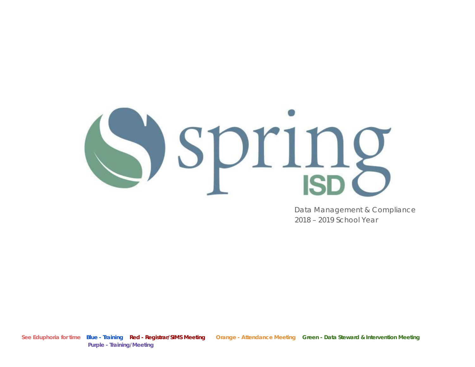

 Data Management & Compliance 2018 – 2019 School Year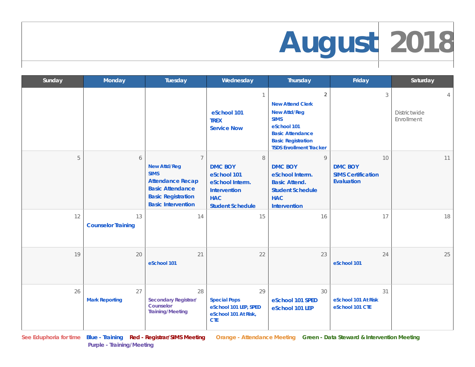### **August 2018**

| Sunday | Monday                          | Tuesday                                                                                                                                                              | Wednesday                                                                                                      | Thursday                                                                                                                                                                    | Friday                                                          | Saturday                                     |
|--------|---------------------------------|----------------------------------------------------------------------------------------------------------------------------------------------------------------------|----------------------------------------------------------------------------------------------------------------|-----------------------------------------------------------------------------------------------------------------------------------------------------------------------------|-----------------------------------------------------------------|----------------------------------------------|
|        |                                 |                                                                                                                                                                      | $\mathbf{1}$<br>eSchool 101<br><b>TREX</b><br><b>Service Now</b>                                               | 2<br><b>New Attend Clerk</b><br><b>New Attd/Reg</b><br><b>SIMS</b><br>eSchool 101<br><b>Basic Attendance</b><br><b>Basic Registration</b><br><b>TSDS Enrollment Tracker</b> | 3                                                               | $\overline{4}$<br>Districtwide<br>Enrollment |
| 5      | 6                               | $\overline{7}$<br><b>New Attd/Reg</b><br><b>SIMS</b><br><b>Attendance Recap</b><br><b>Basic Attendance</b><br><b>Basic Registration</b><br><b>Basic Intervention</b> | 8<br><b>DMC BOY</b><br>eSchool 101<br>eSchool Interm.<br>Intervention<br><b>HAC</b><br><b>Student Schedule</b> | 9<br><b>DMC BOY</b><br>eSchool Interm.<br><b>Basic Attend.</b><br><b>Student Schedule</b><br><b>HAC</b><br><b>Intervention</b>                                              | 10<br><b>DMC BOY</b><br><b>SIMS Certification</b><br>Evaluation | 11                                           |
| 12     | 13<br><b>Counselor Training</b> | 14                                                                                                                                                                   | 15                                                                                                             | 16                                                                                                                                                                          | 17                                                              | 18                                           |
| 19     | 20                              | 21<br>eSchool 101                                                                                                                                                    | 22                                                                                                             | 23                                                                                                                                                                          | 24<br>eSchool 101                                               | 25                                           |
| 26     | 27<br><b>Mark Reporting</b>     | 28<br><b>Secondary Registrar/</b><br>Counselor<br><b>Training/Meeting</b>                                                                                            | 29<br><b>Special Pops</b><br>eSchool 101 LEP, SPED<br>eSchool 101 At Risk,<br><b>CTE</b>                       | 30<br>eSchool 101 SPED<br>eSchool 101 LEP                                                                                                                                   | 31<br>eSchool 101 At Risk<br>eSchool 101 CTE                    |                                              |

**Purple - Training/Meeting**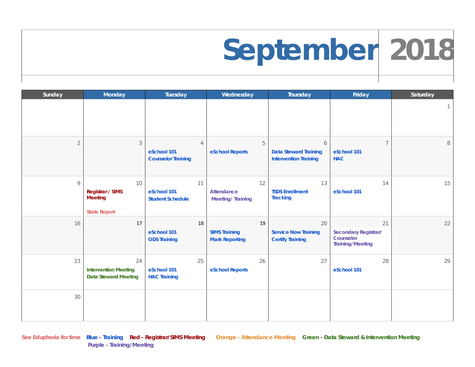#### **September 2018**

| Sunday         | Monday                                                                 | Tuesday                                                    | Wednesday                                           | Thursday                                                          | Friday                                                                    | Saturday     |
|----------------|------------------------------------------------------------------------|------------------------------------------------------------|-----------------------------------------------------|-------------------------------------------------------------------|---------------------------------------------------------------------------|--------------|
|                |                                                                        |                                                            |                                                     |                                                                   |                                                                           | $\mathbf{1}$ |
| $\overline{2}$ | $\mathfrak{Z}$                                                         | $\overline{4}$<br>eSchool 101<br><b>Counselor Training</b> | 5<br>eSchool Reports                                | 6<br><b>Data Steward Training</b><br><b>Intervention Training</b> | $\overline{7}$<br>eSchool 101<br><b>HAC</b>                               | 8            |
| $\mathsf{Q}$   | 10<br><b>Registrar / SIMS</b><br><b>Meeting</b><br><b>State Report</b> | 11<br>eSchool 101<br><b>Student Schedule</b>               | 12<br>Attendance<br><b>Meeting/Training</b>         | 13<br><b>TSDS Enrollment</b><br><b>Tracking</b>                   | 14<br>eSchool 101                                                         | 15           |
| 16             | 17                                                                     | 18<br>eSchool 101<br><b>ODS Training</b>                   | 19<br><b>SIMS Training</b><br><b>Mark Reporting</b> | 20<br><b>Service Now Training</b><br><b>Certify Training</b>      | 21<br><b>Secondary Registrar/</b><br>Counselor<br><b>Training/Meeting</b> | 22           |
| 23             | 24<br><b>Intervention Meeting</b><br><b>Data Steward Meeting</b>       | 25<br>eSchool 101<br><b>HAC Training</b>                   | 26<br>eSchool Reports                               | 27                                                                | 28<br>eSchool 101                                                         | 29           |
| 30             |                                                                        |                                                            |                                                     |                                                                   |                                                                           |              |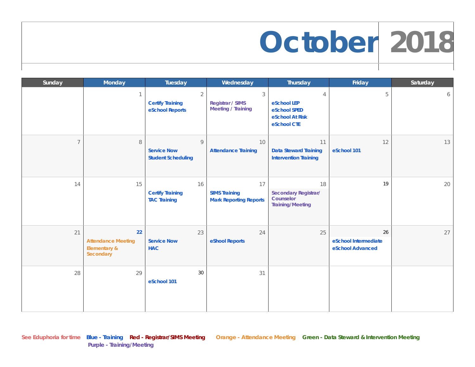### **October 2018**

| Sunday | Monday                                                                  | Tuesday                                                      | Wednesday                                                   | Thursday                                                                        | Friday                                         | Saturday |
|--------|-------------------------------------------------------------------------|--------------------------------------------------------------|-------------------------------------------------------------|---------------------------------------------------------------------------------|------------------------------------------------|----------|
|        | $\mathbf{1}$                                                            | $\overline{2}$<br><b>Certify Training</b><br>eSchool Reports | 3<br><b>Registrar / SIMS</b><br><b>Meeting / Training</b>   | $\overline{4}$<br>eSchool LEP<br>eSchool SPED<br>eSchool At Risk<br>eSchool CTE | 5                                              | 6        |
|        | 8                                                                       | $\circ$<br><b>Service Now</b><br><b>Student Scheduling</b>   | 10<br><b>Attendance Training</b>                            | 11<br><b>Data Steward Training</b><br><b>Intervention Training</b>              | 12<br>eSchool 101                              | 13       |
| 14     | 15                                                                      | 16<br><b>Certify Training</b><br><b>TAC Training</b>         | 17<br><b>SIMS Training</b><br><b>Mark Reporting Reports</b> | 18<br><b>Secondary Registrar/</b><br>Counselor<br><b>Training/Meeting</b>       | 19                                             | 20       |
| 21     | 22<br><b>Attendance Meeting</b><br><b>Elementary &amp;</b><br>Secondary | 23<br><b>Service Now</b><br><b>HAC</b>                       | 24<br>eShool Reports                                        | 25                                                                              | 26<br>eSchool Intermediate<br>eSchool Advanced | 27       |
| 28     | 29                                                                      | 30<br>eSchool 101                                            | 31                                                          |                                                                                 |                                                |          |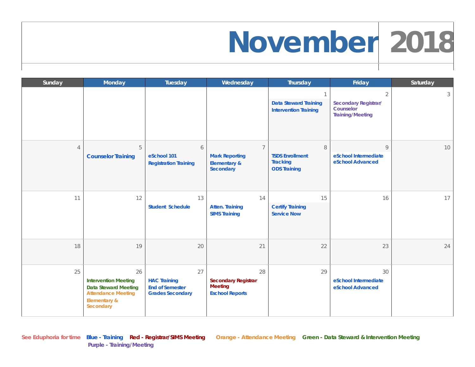### **November 2018**

| Sunday         | Monday                                                                                                                     | Tuesday                                                                        | Wednesday                                                                       | <b>Thursday</b>                                                              | Friday                                                                                | Saturday |
|----------------|----------------------------------------------------------------------------------------------------------------------------|--------------------------------------------------------------------------------|---------------------------------------------------------------------------------|------------------------------------------------------------------------------|---------------------------------------------------------------------------------------|----------|
|                |                                                                                                                            |                                                                                |                                                                                 | $\mathbf{1}$<br><b>Data Steward Training</b><br><b>Intervention Training</b> | $\overline{2}$<br><b>Secondary Registrar/</b><br>Counselor<br><b>Training/Meeting</b> | 3        |
| $\overline{4}$ | 5<br><b>Counselor Training</b>                                                                                             | 6<br>eSchool 101<br><b>Registration Training</b>                               | $\overline{7}$<br><b>Mark Reporting</b><br><b>Elementary &amp;</b><br>Secondary | 8<br><b>TSDS Enrollment</b><br><b>Tracking</b><br><b>ODS Training</b>        | $\mathcal{G}$<br>eSchool Intermediate<br>eSchool Advanced                             | 10       |
| 11             | 12                                                                                                                         | 13<br><b>Student Schedule</b>                                                  | 14<br><b>Atten. Training</b><br><b>SIMS Training</b>                            | 15<br><b>Certify Training</b><br><b>Service Now</b>                          | 16                                                                                    | 17       |
| 18             | 19                                                                                                                         | 20                                                                             | 21                                                                              | 22                                                                           | 23                                                                                    | 24       |
| 25             | 26<br><b>Intervention Meeting</b><br><b>Data Steward Meeting</b><br><b>Attendance Meeting</b><br>Elementary &<br>Secondary | 27<br><b>HAC Training</b><br><b>End of Semester</b><br><b>Grades Secondary</b> | 28<br><b>Secondary Registrar</b><br><b>Meeting</b><br><b>Eschool Reports</b>    | 29                                                                           | 30<br>eSchool Intermediate<br>eSchool Advanced                                        |          |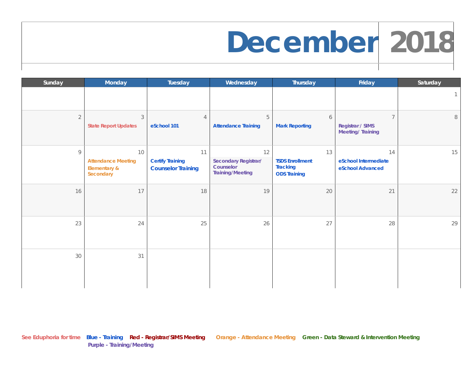#### **December 2018**

| Sunday         | Monday                                                                  | Tuesday                                                    | Wednesday                                                          | Thursday                                                               | Friday                                                        | Saturday     |
|----------------|-------------------------------------------------------------------------|------------------------------------------------------------|--------------------------------------------------------------------|------------------------------------------------------------------------|---------------------------------------------------------------|--------------|
|                |                                                                         |                                                            |                                                                    |                                                                        |                                                               | $\mathbf{1}$ |
| $\overline{2}$ | $\mathcal{S}$<br><b>State Report Updates</b>                            | $\overline{4}$<br>eSchool 101                              | 5<br><b>Attendance Training</b>                                    | 6<br><b>Mark Reporting</b>                                             | $\overline{7}$<br>Registrar / SIMS<br><b>Meeting/Training</b> | $\, 8$       |
| 9              | 10<br><b>Attendance Meeting</b><br><b>Elementary &amp;</b><br>Secondary | 11<br><b>Certify Training</b><br><b>Counselor Training</b> | 12<br>Secondary Registrar/<br>Counselor<br><b>Training/Meeting</b> | 13<br><b>TSDS Enrollment</b><br><b>Tracking</b><br><b>ODS Training</b> | 14<br>eSchool Intermediate<br>eSchool Advanced                | 15           |
| 16             | 17                                                                      | 18                                                         | 19                                                                 | 20                                                                     | 21                                                            | 22           |
| 23             | 24                                                                      | 25                                                         | 26                                                                 | 27                                                                     | 28                                                            | 29           |
| 30             | 31                                                                      |                                                            |                                                                    |                                                                        |                                                               |              |

**Purple - Training/Meeting**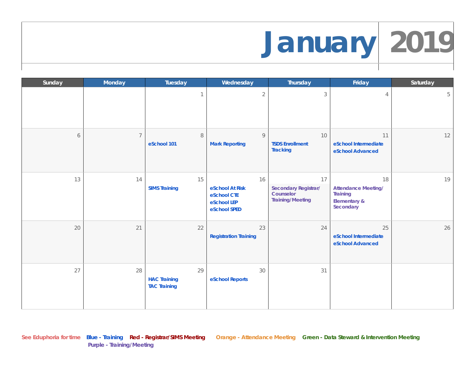#### **January 2019**

| Sunday | Monday         | Tuesday                                          | Wednesday                                                           | Thursday                                                                  | Friday                                                                                      | Saturday |
|--------|----------------|--------------------------------------------------|---------------------------------------------------------------------|---------------------------------------------------------------------------|---------------------------------------------------------------------------------------------|----------|
|        |                | $\overline{1}$                                   | $\overline{2}$                                                      | 3                                                                         | $\overline{4}$                                                                              | 5        |
| 6      | $\overline{7}$ | $\, 8$<br>eSchool 101                            | 9<br><b>Mark Reporting</b>                                          | 10<br><b>TSDS Enrollment</b><br><b>Tracking</b>                           | 11<br>eSchool Intermediate<br>eSchool Advanced                                              | 12       |
| 13     | 14             | 15<br><b>SIMS Training</b>                       | 16<br>eSchool At Risk<br>eSchool CTE<br>eSchool LEP<br>eSchool SPED | 17<br><b>Secondary Registrar/</b><br>Counselor<br><b>Training/Meeting</b> | 18<br><b>Attendance Meeting/</b><br><b>Training</b><br><b>Elementary &amp;</b><br>Secondary | 19       |
| 20     | 21             | 22                                               | 23<br><b>Registration Training</b>                                  | 24                                                                        | 25<br>eSchool Intermediate<br>eSchool Advanced                                              | 26       |
| 27     | 28             | 29<br><b>HAC Training</b><br><b>TAC Training</b> | 30<br>eSchool Reports                                               | 31                                                                        |                                                                                             |          |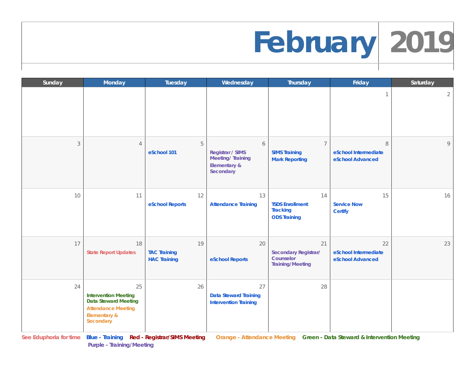#### **February 2019**

| Sunday | Monday                                                                                                                                | Tuesday                                          | Wednesday                                                                            | Thursday                                                                  | Friday                                         | Saturday       |
|--------|---------------------------------------------------------------------------------------------------------------------------------------|--------------------------------------------------|--------------------------------------------------------------------------------------|---------------------------------------------------------------------------|------------------------------------------------|----------------|
|        |                                                                                                                                       |                                                  |                                                                                      |                                                                           | $\mathbf{1}$                                   | $\overline{2}$ |
| 3      | $\overline{4}$                                                                                                                        | 5<br>eSchool 101                                 | 6<br><b>Registrar / SIMS</b><br><b>Meeting/Training</b><br>Elementary &<br>Secondary | $\overline{7}$<br><b>SIMS Training</b><br><b>Mark Reporting</b>           | 8<br>eSchool Intermediate<br>eSchool Advanced  | 9              |
| 10     | 11                                                                                                                                    | 12<br>eSchool Reports                            | 13<br><b>Attendance Training</b>                                                     | 14<br><b>TSDS Enrollment</b><br><b>Tracking</b><br><b>ODS Training</b>    | 15<br><b>Service Now</b><br><b>Certify</b>     | 16             |
| 17     | 18<br><b>State Report Updates</b>                                                                                                     | 19<br><b>TAC Training</b><br><b>HAC Training</b> | 20<br>eSchool Reports                                                                | 21<br><b>Secondary Registrar/</b><br>Counselor<br><b>Training/Meeting</b> | 22<br>eSchool Intermediate<br>eSchool Advanced | 23             |
| 24     | 25<br><b>Intervention Meeting</b><br><b>Data Steward Meeting</b><br><b>Attendance Meeting</b><br><b>Elementary &amp;</b><br>Secondary | 26                                               | 27<br><b>Data Steward Training</b><br><b>Intervention Training</b>                   | 28                                                                        |                                                |                |

**See Eduphoria for time Blue - Training Red - Registrar/SIMS Meeting Orange - Attendance Meeting Green - Data Steward & Intervention Meeting**

**Purple - Training/Meeting**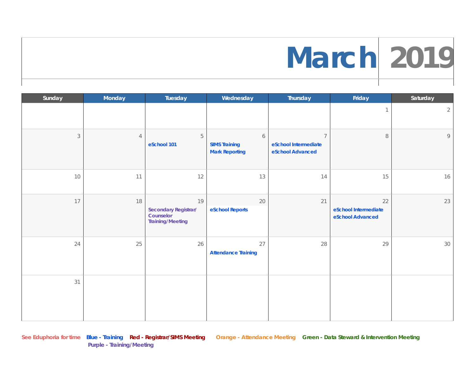## **March 2019**

| Sunday         | Monday         | Tuesday                                                                   | Wednesday                                          | Thursday                                                   | Friday                                         | Saturday       |
|----------------|----------------|---------------------------------------------------------------------------|----------------------------------------------------|------------------------------------------------------------|------------------------------------------------|----------------|
|                |                |                                                                           |                                                    |                                                            | $\mathbf{1}$                                   | $\overline{2}$ |
| $\mathfrak{Z}$ | $\overline{4}$ | 5<br>eSchool 101                                                          | 6<br><b>SIMS Training</b><br><b>Mark Reporting</b> | $\overline{7}$<br>eSchool Intermediate<br>eSchool Advanced | $\, 8$                                         | 9              |
| 10             | 11             | 12                                                                        | 13                                                 | 14                                                         | 15                                             | 16             |
| 17             | 18             | 19<br><b>Secondary Registrar/</b><br>Counselor<br><b>Training/Meeting</b> | 20<br>eSchool Reports                              | 21                                                         | 22<br>eSchool Intermediate<br>eSchool Advanced | 23             |
| 24             | 25             | 26                                                                        | 27<br><b>Attendance Training</b>                   | 28                                                         | 29                                             | 30             |
| 31             |                |                                                                           |                                                    |                                                            |                                                |                |

**Purple - Training/Meeting**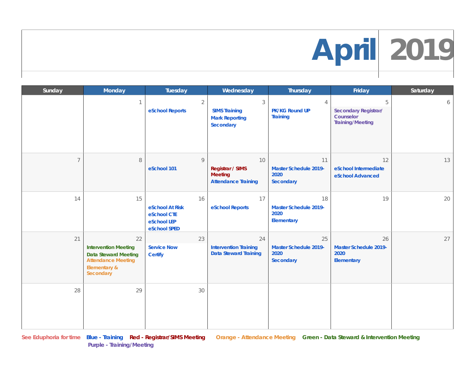## **April 2019**

| Sunday         | <b>Monday</b>                                                                                                              | Tuesday                                                             | Wednesday                                                                     | <b>Thursday</b>                                          | Friday                                                                   | Saturday |
|----------------|----------------------------------------------------------------------------------------------------------------------------|---------------------------------------------------------------------|-------------------------------------------------------------------------------|----------------------------------------------------------|--------------------------------------------------------------------------|----------|
|                | 1                                                                                                                          | $\overline{2}$<br>eSchool Reports                                   | $\mathfrak{Z}$<br><b>SIMS Training</b><br><b>Mark Reporting</b><br>Secondary  | $\overline{4}$<br>PK/KG Round UP<br><b>Training</b>      | 5<br><b>Secondary Registrar/</b><br>Counselor<br><b>Training/Meeting</b> | 6        |
| $\overline{7}$ | 8                                                                                                                          | $\circ$<br>eSchool 101                                              | 10<br><b>Registrar / SIMS</b><br><b>Meeting</b><br><b>Attendance Training</b> | 11<br><b>Master Schedule 2019-</b><br>2020<br>Secondary  | 12<br>eSchool Intermediate<br>eSchool Advanced                           | 13       |
| 14             | 15                                                                                                                         | 16<br>eSchool At Risk<br>eSchool CTE<br>eSchool LEP<br>eSchool SPED | 17<br>eSchool Reports                                                         | 18<br><b>Master Schedule 2019-</b><br>2020<br>Elementary | 19                                                                       | 20       |
| 21             | 22<br><b>Intervention Meeting</b><br><b>Data Steward Meeting</b><br><b>Attendance Meeting</b><br>Elementary &<br>Secondary | 23<br><b>Service Now</b><br><b>Certify</b>                          | 24<br><b>Intervention Training</b><br><b>Data Steward Training</b>            | 25<br><b>Master Schedule 2019-</b><br>2020<br>Secondary  | 26<br><b>Master Schedule 2019-</b><br>2020<br>Elementary                 | 27       |
| 28             | 29                                                                                                                         | 30                                                                  |                                                                               |                                                          |                                                                          |          |

**Purple - Training/Meeting**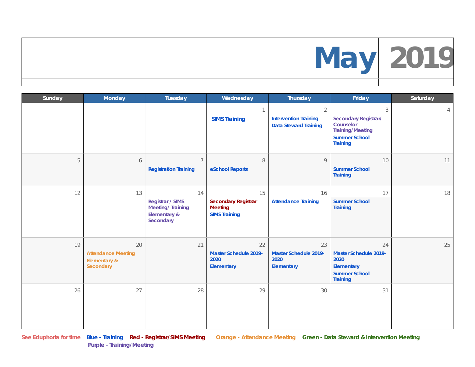# **May 2019**

| Sunday | <b>Monday</b>                                                           | Tuesday                                                                                          | Wednesday                                                                  | <b>Thursday</b>                                                                | Friday                                                                                                              | Saturday       |
|--------|-------------------------------------------------------------------------|--------------------------------------------------------------------------------------------------|----------------------------------------------------------------------------|--------------------------------------------------------------------------------|---------------------------------------------------------------------------------------------------------------------|----------------|
|        |                                                                         |                                                                                                  | $\mathbf{1}$<br><b>SIMS Training</b>                                       | $\overline{2}$<br><b>Intervention Training</b><br><b>Data Steward Training</b> | 3<br><b>Secondary Registrar/</b><br>Counselor<br><b>Training/Meeting</b><br><b>Summer School</b><br><b>Training</b> | $\overline{4}$ |
| 5      | 6                                                                       | $\overline{7}$<br><b>Registration Training</b>                                                   | $\, 8$<br>eSchool Reports                                                  | 9                                                                              | 10<br><b>Summer School</b><br><b>Training</b>                                                                       | 11             |
| 12     | 13                                                                      | 14<br><b>Registrar / SIMS</b><br><b>Meeting/Training</b><br><b>Elementary &amp;</b><br>Secondary | 15<br><b>Secondary Registrar</b><br><b>Meeting</b><br><b>SIMS Training</b> | 16<br><b>Attendance Training</b>                                               | 17<br><b>Summer School</b><br><b>Training</b>                                                                       | 18             |
| 19     | 20<br><b>Attendance Meeting</b><br><b>Elementary &amp;</b><br>Secondary | 21                                                                                               | 22<br><b>Master Schedule 2019-</b><br>2020<br>Elementary                   | 23<br><b>Master Schedule 2019-</b><br>2020<br>Elementary                       | 24<br><b>Master Schedule 2019-</b><br>2020<br>Elementary<br><b>Summer School</b><br><b>Training</b>                 | 25             |
| 26     | 27                                                                      | 28                                                                                               | 29                                                                         | 30                                                                             | 31                                                                                                                  |                |

**Purple - Training/Meeting**